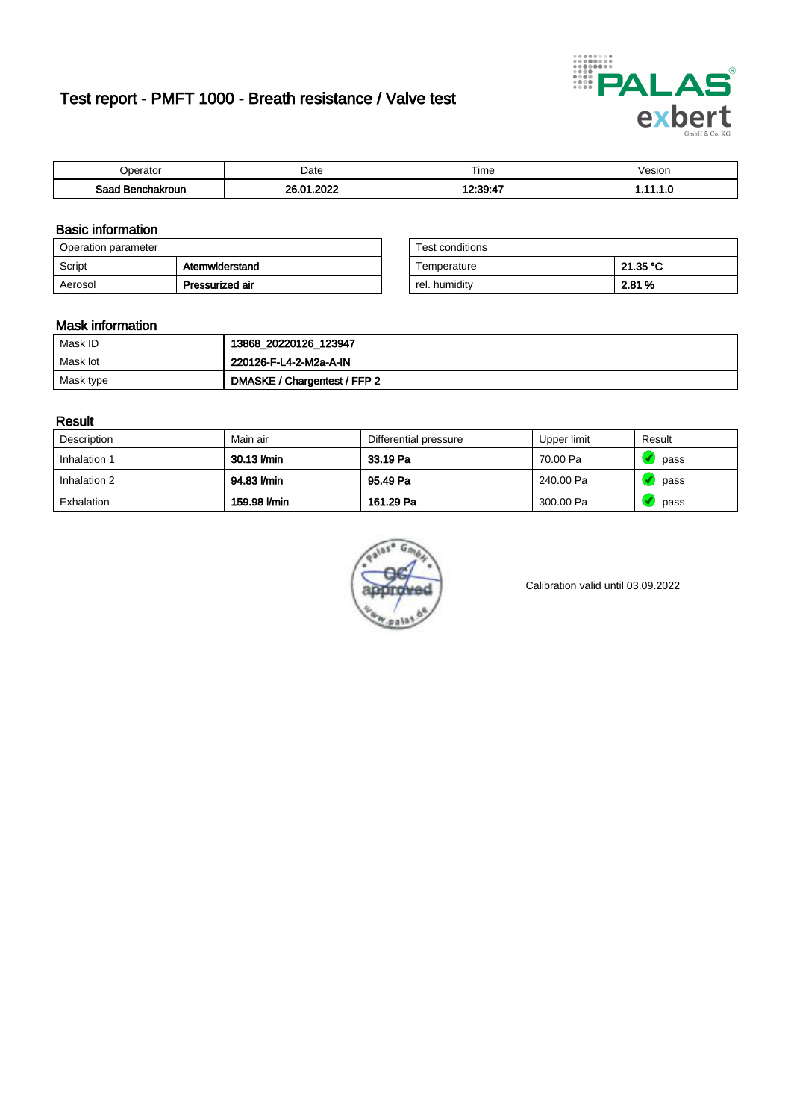# Test report - PMFT 1000 - Breath resistance / Valve test



| )perator               | Date                       | $- \cdot$<br><b>Time</b> | esion |
|------------------------|----------------------------|--------------------------|-------|
| המס<br>hakroun<br>32 H | ດດດດ<br>ഹ<br>$\sim$<br>UZ. | $12.20 - 17$             | .     |

### Basic information

| Operation parameter |                 | Test conditions |          |
|---------------------|-----------------|-----------------|----------|
| Script              | Atemwiderstand  | Temperature     | 21.35 °C |
| Aerosol             | Pressurized air | rel. humidity   | 2.81 %   |

| Test conditions |          |
|-----------------|----------|
| Temperature     | 21.35 °C |
| rel. humidity   | 2.81 %   |

#### Mask information

| Mask ID   | 13868_20220126_123947        |
|-----------|------------------------------|
| Mask lot  | 220126-F-L4-2-M2a-A-IN       |
| Mask type | DMASKE / Chargentest / FFP 2 |

### Result

| Description  | Main air     | Differential pressure | Upper limit | Result |
|--------------|--------------|-----------------------|-------------|--------|
| Inhalation 1 | 30.13 l/min  | 33.19 Pa              | 70.00 Pa    | pass   |
| Inhalation 2 | 94.83 l/min  | 95.49 Pa              | 240.00 Pa   | pass   |
| Exhalation   | 159.98 l/min | 161.29 Pa             | 300.00 Pa   | pass   |



Calibration valid until 03.09.2022